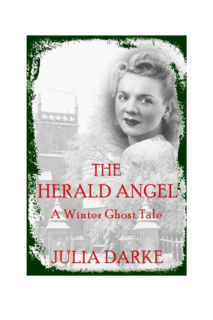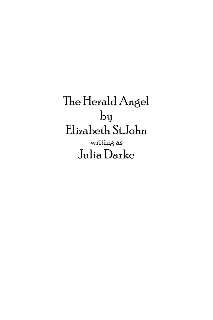The Herald Angel by Elizabeth St.John writing as Julia Darke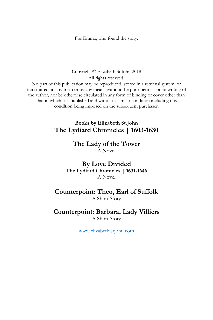For Emma, who found the story.

Copyright © Elizabeth St.John 2018 All rights reserved. No part of this publication may be reproduced, stored in a retrieval system, or transmitted, in any form or by any means without the prior permission in writing of the author, nor be otherwise circulated in any form of binding or cover other than that in which it is published and without a similar condition including this condition being imposed on the subsequent purchaser.

## **Books by Elizabeth St.John The Lydiard Chronicles | 1603-1630**

## **The Lady of the Tower**

A Novel

**By Love Divided The Lydiard Chronicles | 1631-1646** A Novel

## **Counterpoint: Theo, Earl of Suffolk** A Short Story

**Counterpoint: Barbara, Lady Villiers**

A Short Story

[www.elizabethjstjohn.com](http://www.elizabethjstjohn.com/)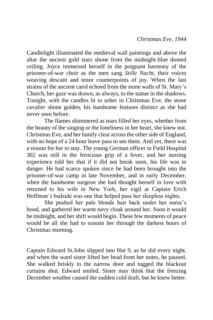Candlelight illuminated the medieval wall paintings and above the altar the ancient gold stars shone from the midnight-blue domed ceiling. Joyce immersed herself in the poignant harmony of the prisoner-of-war choir as the men sang *Stille Nacht*, their voices weaving descant and tenor counterpoints of joy. When the last strains of the ancient carol echoed from the stone walls of St. Mary's Church, her gaze was drawn, as always, to the statue in the shadows. Tonight, with the candles lit to usher in Christmas Eve, the stone cavalier shone golden, his handsome features distinct as she had never seen before.

The flames shimmered as tears filled her eyes, whether from the beauty of the singing or the loneliness in her heart, she knew not. Christmas Eve, and her family clear across the other side of England, with no hope of a 24 hour leave pass to see them. And yet, there was a reason for her to stay. The young German officer in Field Hospital 302 was still in the ferocious grip of a fever, and her nursing experience told her that if it did not break soon, his life was in danger. He had scarce spoken since he had been brought into the prisoner-of-war camp in late November, and in early December, when the handsome surgeon she had thought herself in love with returned to his wife in New York, her vigil at Captain Erich Hoffman's bedside was one that helped pass her sleepless nights.

She pushed her pale blonde hair back under her nurse's hood, and gathered her warm navy cloak around her. Soon it would be midnight, and her shift would begin. These few moments of peace would be all she had to sustain her through the darkest hours of Christmas morning.

Captain Edward St.John slipped into Hut 9, as he did every night, and when the ward sister lifted her head from her notes, he paused. She walked briskly to the narrow door and tugged the blackout curtains shut. Edward smiled. Sister may think that the freezing December weather caused the sudden cold draft, but he knew better.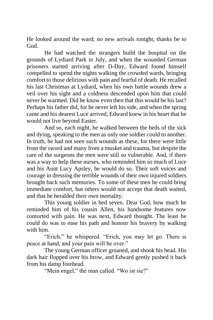He looked around the ward; no new arrivals tonight, thanks be to God.

He had watched the strangers build the hospital on the grounds of Lydiard Park in July, and when the wounded German prisoners started arriving after D-Day, Edward found himself compelled to spend the nights walking the crowded wards, bringing comfort to those delirious with pain and fearful of death. He recalled his last Christmas at Lydiard, when his own battle wounds drew a veil over his sight and a coldness descended upon him that could never be warmed. Did he know even then that this would be his last? Perhaps his father did, for he never left his side, and when the spring came and his dearest Luce arrived, Edward knew in his heart that he would not live beyond Easter.

And so, each night, he walked between the beds of the sick and dying, speaking to the men as only one soldier could to another. In truth, he had not seen such wounds as these, for there were little from the sword and many from a musket and trauma, but despite the care of the surgeons the men were still so vulnerable. And, if there was a way to help these nurses, who reminded him so much of Luce and his Aunt Lucy Apsley, he would do so. Their soft voices and courage in dressing the terrible wounds of their own injured soldiers brought back such memories. To some of these men he could bring immediate comfort, but others would not accept that death waited, and that he heralded their own mortality.

This young soldier in bed seven. Dear God, how much he reminded him of his cousin Allen, his handsome features now contorted with pain. He was next, Edward thought. The least he could do was to ease his path and honour his bravery by walking with him.

"Erich," he whispered. "Erich, you may let go. There is peace at hand, and your pain will be over."

The young German officer groaned, and shook his head. His dark hair flopped over his brow, and Edward gently pushed it back from his damp forehead.

"Mein engel," the man called. "Wo ist sie?"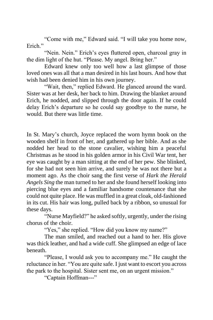"Come with me," Edward said. "I will take you home now, Erich."

"Nein. Nein." Erich's eyes fluttered open, charcoal gray in the dim light of the hut. "Please. My angel. Bring her."

Edward knew only too well how a last glimpse of those loved ones was all that a man desired in his last hours. And how that wish had been denied him in his own journey.

"Wait, then," replied Edward. He glanced around the ward. Sister was at her desk, her back to him. Drawing the blanket around Erich, he nodded, and slipped through the door again. If he could delay Erich's departure so he could say goodbye to the nurse, he would. But there was little time.

In St. Mary's church, Joyce replaced the worn hymn book on the wooden shelf in front of her, and gathered up her bible. And as she nodded her head to the stone cavalier, wishing him a peaceful Christmas as he stood in his golden armor in his Civil War tent, her eye was caught by a man sitting at the end of her pew. She blinked, for she had not seen him arrive, and surely he was not there but a moment ago. As the choir sang the first verse of *Hark the Herald Angels Sing* the man turned to her and she found herself looking into piercing blue eyes and a familiar handsome countenance that she could not quite place. He was muffled in a great cloak, old-fashioned in its cut. His hair was long, pulled back by a ribbon, so unusual for these days.

"Nurse Mayfield?" he asked softly, urgently, under the rising chorus of the choir.

"Yes," she replied. "How did you know my name?"

The man smiled, and reached out a hand to her. His glove was thick leather, and had a wide cuff. She glimpsed an edge of lace beneath.

"Please, I would ask you to accompany me." He caught the reluctance in her. "You are quite safe. I just want to escort you across the park to the hospital. Sister sent me, on an urgent mission."

"Captain Hoffman---"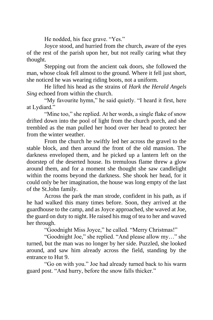He nodded, his face grave. "Yes."

Joyce stood, and hurried from the church, aware of the eyes of the rest of the parish upon her, but not really caring what they thought.

Stepping out from the ancient oak doors, she followed the man, whose cloak fell almost to the ground. Where it fell just short, she noticed he was wearing riding boots, not a uniform.

He lifted his head as the strains of *Hark the Herald Angels Sing* echoed from within the church.

"My favourite hymn," he said quietly. "I heard it first, here at Lydiard."

"Mine too," she replied. At her words, a single flake of snow drifted down into the pool of light from the church porch, and she trembled as the man pulled her hood over her head to protect her from the winter weather.

From the church he swiftly led her across the gravel to the stable block, and then around the front of the old mansion. The darkness enveloped them, and he picked up a lantern left on the doorstep of the deserted house. Its tremulous flame threw a glow around them, and for a moment she thought she saw candlelight within the rooms beyond the darkness. She shook her head, for it could only be her imagination, the house was long empty of the last of the St.John family.

Across the park the man strode, confident in his path, as if he had walked this many times before. Soon, they arrived at the guardhouse to the camp, and as Joyce approached, she waved at Joe, the guard on duty to night. He raised his mug of tea to her and waved her through.

"Goodnight Miss Joyce," he called. "Merry Christmas!"

"Goodnight Joe," she replied. "And please allow my…" she turned, but the man was no longer by her side. Puzzled, she looked around, and saw him already across the field, standing by the entrance to Hut 9.

"Go on with you." Joe had already turned back to his warm guard post. "And hurry, before the snow falls thicker."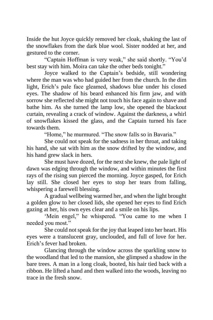Inside the hut Joyce quickly removed her cloak, shaking the last of the snowflakes from the dark blue wool. Sister nodded at her, and gestured to the corner.

"Captain Hoffman is very weak," she said shortly. "You'd best stay with him. Moira can take the other beds tonight."

Joyce walked to the Captain's bedside, still wondering where the man was who had guided her from the church. In the dim light, Erich's pale face gleamed, shadows blue under his closed eyes. The shadow of his beard enhanced his firm jaw, and with sorrow she reflected she might not touch his face again to shave and bathe him. As she turned the lamp low, she opened the blackout curtain, revealing a crack of window. Against the darkness, a whirl of snowflakes kissed the glass, and the Captain turned his face towards them.

"Home," he murmured. "The snow falls so in Bavaria."

She could not speak for the sadness in her throat, and taking his hand, she sat with him as the snow drifted by the window, and his hand grew slack in hers.

She must have dozed, for the next she knew, the pale light of dawn was edging through the window, and within minutes the first rays of the rising sun pierced the morning. Joyce gasped, for Erich lay still. She closed her eyes to stop her tears from falling, whispering a farewell blessing.

A gradual wellbeing warmed her, and when the light brought a golden glow to her closed lids, she opened her eyes to find Erich gazing at her, his own eyes clear and a smile on his lips.

'Mein engel," he whispered. "You came to me when I needed you most."

She could not speak for the joy that leaped into her heart. His eyes were a translucent gray, unclouded, and full of love for her. Erich's fever had broken.

Glancing through the window across the sparkling snow to the woodland that led to the mansion, she glimpsed a shadow in the bare trees. A man in a long cloak, booted, his hair tied back with a ribbon. He lifted a hand and then walked into the woods, leaving no trace in the fresh snow.